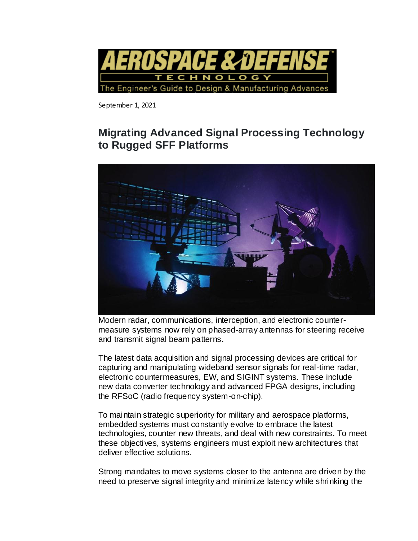

September 1, 2021

# **Migrating Advanced Signal Processing Technology to Rugged SFF Platforms**



Modern radar, communications, interception, and electronic countermeasure systems now rely on phased-array antennas for steering receive and transmit signal beam patterns.

The latest data acquisition and signal processing devices are critical for capturing and manipulating wideband sensor signals for real-time radar, electronic countermeasures, EW, and SIGINT systems. These include new data converter technology and advanced FPGA designs, including the RFSoC (radio frequency system-on-chip).

To maintain strategic superiority for military and aerospace platforms, embedded systems must constantly evolve to embrace the latest technologies, counter new threats, and deal with new constraints. To meet these objectives, systems engineers must exploit new architectures that deliver effective solutions.

Strong mandates to move systems closer to the antenna are driven by the need to preserve signal integrity and minimize latency while shrinking the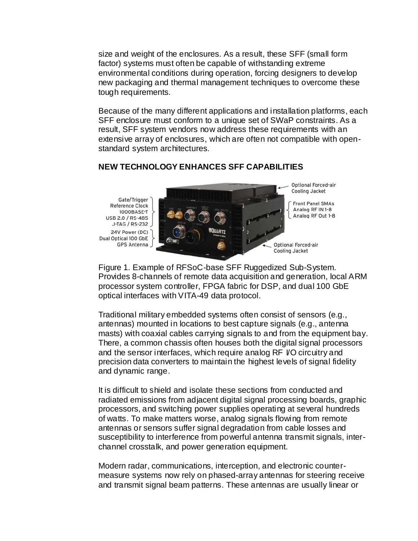size and weight of the enclosures. As a result, these SFF (small form factor) systems must often be capable of withstanding extreme environmental conditions during operation, forcing designers to develop new packaging and thermal management techniques to overcome these tough requirements.

Because of the many different applications and installation platforms, each SFF enclosure must conform to a unique set of SWaP constraints. As a result, SFF system vendors now address these requirements with an extensive array of enclosures, which are often not compatible with openstandard system architectures.

## **NEW TECHNOLOGY ENHANCES SFF CAPABILITIES**

Gate/Trigger **Reference Clock** 1000BASE-T USB 2.0 / RS-485 J-TAG / RS-232 24V Power (DC) Dual Optical 100 GbE GPS Antenna



Figure 1. Example of RFSoC-base SFF Ruggedized Sub-System. Provides 8-channels of remote data acquisition and generation, local ARM processor system controller, FPGA fabric for DSP, and dual 100 GbE optical interfaces with VITA-49 data protocol.

Traditional military embedded systems often consist of sensors (e.g., antennas) mounted in locations to best capture signals (e.g., antenna masts) with coaxial cables carrying signals to and from the equipment bay. There, a common chassis often houses both the digital signal processors and the sensor interfaces, which require analog RF I/O circuitry and precision data converters to maintain the highest levels of signal fidelity and dynamic range.

It is difficult to shield and isolate these sections from conducted and radiated emissions from adjacent digital signal processing boards, graphic processors, and switching power supplies operating at several hundreds of watts. To make matters worse, analog signals flowing from remote antennas or sensors suffer signal degradation from cable losses and susceptibility to interference from powerful antenna transmit signals, interchannel crosstalk, and power generation equipment.

Modern radar, communications, interception, and electronic countermeasure systems now rely on phased-array antennas for steering receive and transmit signal beam patterns. These antennas are usually linear or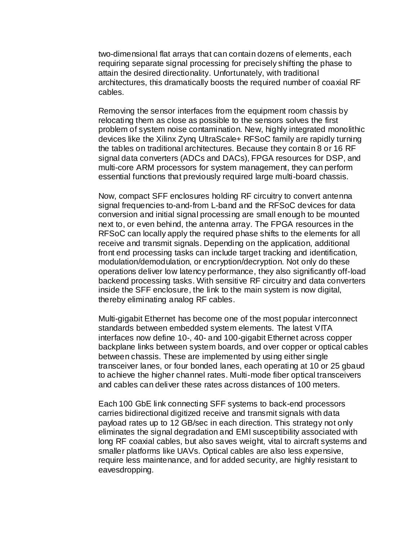two-dimensional flat arrays that can contain dozens of elements, each requiring separate signal processing for precisely shifting the phase to attain the desired directionality. Unfortunately, with traditional architectures, this dramatically boosts the required number of coaxial RF cables.

Removing the sensor interfaces from the equipment room chassis by relocating them as close as possible to the sensors solves the first problem of system noise contamination. New, highly integrated monolithic devices like the Xilinx Zynq UltraScale+ RFSoC family are rapidly turning the tables on traditional architectures. Because they contain 8 or 16 RF signal data converters (ADCs and DACs), FPGA resources for DSP, and multi-core ARM processors for system management, they can perform essential functions that previously required large multi-board chassis.

Now, compact SFF enclosures holding RF circuitry to convert antenna signal frequencies to-and-from L-band and the RFSoC devices for data conversion and initial signal processing are small enough to be mounted next to, or even behind, the antenna array. The FPGA resources in the RFSoC can locally apply the required phase shifts to the elements for all receive and transmit signals. Depending on the application, additional front end processing tasks can include target tracking and identification, modulation/demodulation, or encryption/decryption. Not only do these operations deliver low latency performance, they also significantly off-load backend processing tasks. With sensitive RF circuitry and data converters inside the SFF enclosure, the link to the main system is now digital, thereby eliminating analog RF cables.

Multi-gigabit Ethernet has become one of the most popular interconnect standards between embedded system elements. The latest VITA interfaces now define 10-, 40- and 100-gigabit Ethernet across copper backplane links between system boards, and over copper or optical cables between chassis. These are implemented by using either single transceiver lanes, or four bonded lanes, each operating at 10 or 25 gbaud to achieve the higher channel rates. Multi-mode fiber optical transceivers and cables can deliver these rates across distances of 100 meters.

Each 100 GbE link connecting SFF systems to back-end processors carries bidirectional digitized receive and transmit signals with data payload rates up to 12 GB/sec in each direction. This strategy not only eliminates the signal degradation and EMI susceptibility associated with long RF coaxial cables, but also saves weight, vital to aircraft systems and smaller platforms like UAVs. Optical cables are also less expensive, require less maintenance, and for added security, are highly resistant to eavesdropping.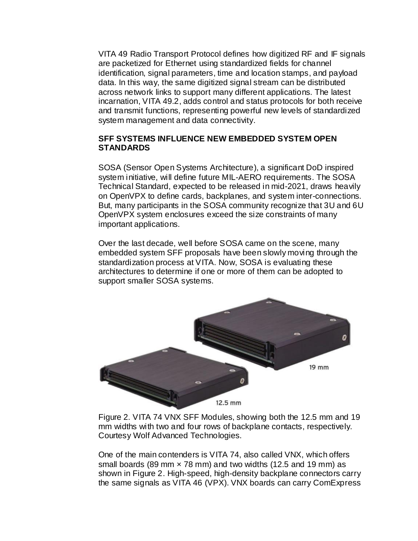VITA 49 Radio Transport Protocol defines how digitized RF and IF signals are packetized for Ethernet using standardized fields for channel identification, signal parameters, time and location stamps, and payload data. In this way, the same digitized signal stream can be distributed across network links to support many different applications. The latest incarnation, VITA 49.2, adds control and status protocols for both receive and transmit functions, representing powerful new levels of standardized system management and data connectivity.

## **SFF SYSTEMS INFLUENCE NEW EMBEDDED SYSTEM OPEN STANDARDS**

SOSA (Sensor Open Systems Architecture), a significant DoD inspired system initiative, will define future MIL-AERO requirements. The SOSA Technical Standard, expected to be released in mid-2021, draws heavily on OpenVPX to define cards, backplanes, and system inter-connections. But, many participants in the SOSA community recognize that 3U and 6U OpenVPX system enclosures exceed the size constraints of many important applications.

Over the last decade, well before SOSA came on the scene, many embedded system SFF proposals have been slowly moving through the standardization process at VITA. Now, SOSA is evaluating these architectures to determine if one or more of them can be adopted to support smaller SOSA systems.



Figure 2. VITA 74 VNX SFF Modules, showing both the 12.5 mm and 19 mm widths with two and four rows of backplane contacts, respectively. Courtesy Wolf Advanced Technologies.

One of the main contenders is VITA 74, also called VNX, which offers small boards (89 mm  $\times$  78 mm) and two widths (12.5 and 19 mm) as shown in Figure 2. High-speed, high-density backplane connectors carry the same signals as VITA 46 (VPX). VNX boards can carry ComExpress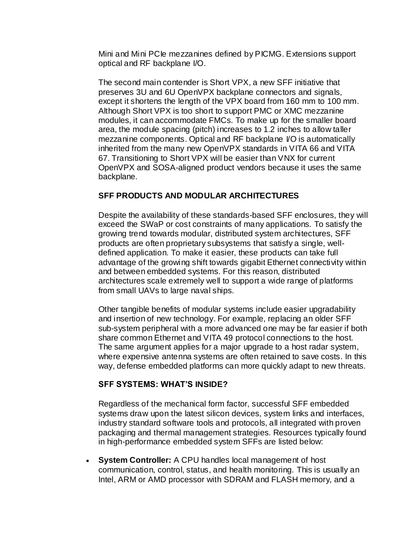Mini and Mini PCIe mezzanines defined by PICMG. Extensions support optical and RF backplane I/O.

The second main contender is Short VPX, a new SFF initiative that preserves 3U and 6U OpenVPX backplane connectors and signals, except it shortens the length of the VPX board from 160 mm to 100 mm. Although Short VPX is too short to support PMC or XMC mezzanine modules, it can accommodate FMCs. To make up for the smaller board area, the module spacing (pitch) increases to 1.2 inches to allow taller mezzanine components. Optical and RF backplane I/O is automatically inherited from the many new OpenVPX standards in VITA 66 and VITA 67. Transitioning to Short VPX will be easier than VNX for current OpenVPX and SOSA-aligned product vendors because it uses the same backplane.

## **SFF PRODUCTS AND MODULAR ARCHITECTURES**

Despite the availability of these standards-based SFF enclosures, they will exceed the SWaP or cost constraints of many applications. To satisfy the growing trend towards modular, distributed system architectures, SFF products are often proprietary subsystems that satisfy a single, welldefined application. To make it easier, these products can take full advantage of the growing shift towards gigabit Ethernet connectivity within and between embedded systems. For this reason, distributed architectures scale extremely well to support a wide range of platforms from small UAVs to large naval ships.

Other tangible benefits of modular systems include easier upgradability and insertion of new technology. For example, replacing an older SFF sub-system peripheral with a more advanced one may be far easier if both share common Ethernet and VITA 49 protocol connections to the host. The same argument applies for a major upgrade to a host radar system, where expensive antenna systems are often retained to save costs. In this way, defense embedded platforms can more quickly adapt to new threats.

## **SFF SYSTEMS: WHAT'S INSIDE?**

Regardless of the mechanical form factor, successful SFF embedded systems draw upon the latest silicon devices, system links and interfaces, industry standard software tools and protocols, all integrated with proven packaging and thermal management strategies. Resources typically found in high-performance embedded system SFFs are listed below:

 **System Controller:** A CPU handles local management of host communication, control, status, and health monitoring. This is usually an Intel, ARM or AMD processor with SDRAM and FLASH memory, and a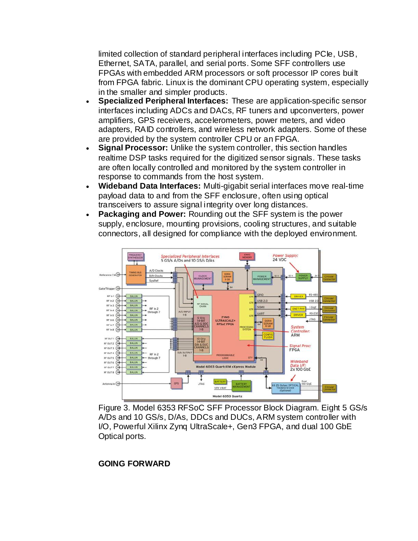limited collection of standard peripheral interfaces including PCIe, USB, Ethernet, SATA, parallel, and serial ports. Some SFF controllers use FPGAs with embedded ARM processors or soft processor IP cores built from FPGA fabric. Linux is the dominant CPU operating system, especially in the smaller and simpler products.

- **Specialized Peripheral Interfaces:** These are application-specific sensor interfaces including ADCs and DACs, RF tuners and upconverters, power amplifiers, GPS receivers, accelerometers, power meters, and video adapters, RAID controllers, and wireless network adapters. Some of these are provided by the system controller CPU or an FPGA.
- **Signal Processor:** Unlike the system controller, this section handles realtime DSP tasks required for the digitized sensor signals. These tasks are often locally controlled and monitored by the system controller in response to commands from the host system.
- **Wideband Data Interfaces:** Multi-gigabit serial interfaces move real-time payload data to and from the SFF enclosure, often using optical transceivers to assure signal integrity over long distances.
- **Packaging and Power:** Rounding out the SFF system is the power supply, enclosure, mounting provisions, cooling structures, and suitable connectors, all designed for compliance with the deployed environment.



Figure 3. Model 6353 RFSoC SFF Processor Block Diagram. Eight 5 GS/s A/Ds and 10 GS/s, D/As, DDCs and DUCs, ARM system controller with I/O, Powerful Xilinx Zynq UltraScale+, Gen3 FPGA, and dual 100 GbE Optical ports.

## **GOING FORWARD**